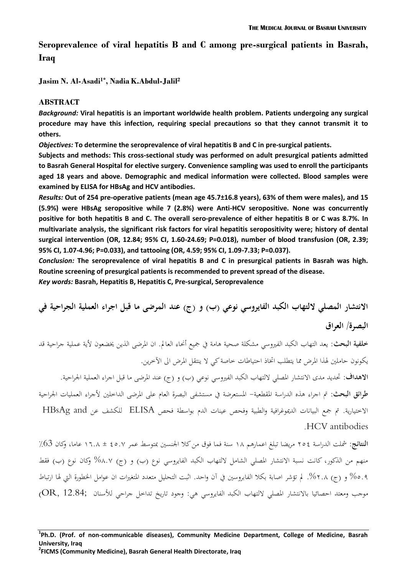# **Seroprevalence of viral hepatitis B and C among pre-surgical patients in Basrah, Iraq**

**Jasim N. Al-Asadi1\*, Nadia K.Abdul-Jalil<sup>2</sup>**

# **ABSTRACT**

*Background:* **Viral hepatitis is an important worldwide health problem. Patients undergoing any surgical procedure may have this infection, requiring special precautions so that they cannot transmit it to others.**

*Objectives:* **To determine the seroprevalence of viral hepatitis B and C in pre-surgical patients.**

**Subjects and methods: This cross-sectional study was performed on adult presurgical patients admitted to Basrah General Hospital for elective surgery. Convenience sampling was used to enroll the participants aged 18 years and above. Demographic and medical information were collected. Blood samples were examined by ELISA for HBsAg and HCV antibodies.**

*Results:* **Out of 254 pre-operative patients (mean age 45.7±16.8 years), 63% of them were males), and 15 (5.9%) were HBsAg seropositive while 7 (2.8%) were Anti-HCV seropositive. None was concurrently positive for both hepatitis B and C. The overall sero-prevalence of either hepatitis B or C was 8.7%. In multivariate analysis, the significant risk factors for viral hepatitis seropositivity were; history of dental surgical intervention (OR, 12.84; 95% CI, 1.60-24.69; P=0.018), number of blood transfusion (OR, 2.39; 95% CI, 1.07-4.96; P=0.033), and tattooing (OR, 4.59; 95% CI, 1.09-7.33; P=0.037).**

*Conclusion:* **The seroprevalence of viral hepatitis B and C in presurgical patients in Basrah was high. Routine screening of presurgical patients is recommended to prevent spread of the disease.**

*Key words:* **Basrah, Hepatitis B, Hepatitis C, Pre-surgical, Seroprevalence**

**االنتشار المصلي اللتهاب الكبد الفايروسي نوعي )ب( و )ج( عند المرضى ما قبل اجراء العملية الجراحية في البصرة/ العراق**

**خلفية البحث**: يعد التهاب الكبد الفريوسي مشكلة صحية هامة يف مجيع أحناء العامل. ان املرضى الذين خيضعون ألية عملية جراحية قد يكونون حاملني هلذا املرض مما يتطلب اختاذ احتياطات خاصة كي ال ينتقل املرض اىل اآلخرين.

**الاهداف:** تحديد مدى الانتشار المصلي لالتهاب الكبد الفيروسي نوعي (ب) و (ج) عند المرضى ما قبل اجراء العملية الجراحية. **طرائق البحث:** مت اجراء هذه الدراسة املقطعية- املستعرضة يف مستشفى البصرة العام على املرضى الداخلني ألجراء العمليات اجلراحية االختيارية. مت مجع البيانات الدميوغرافية والطبية وفحص عينات الدم بواسطة فحص ELISA للكشف عن and HBsAg .HCV antibodies

**النتائج:** مشلت الدراسة 452 مريضا تبلغ اعمارهم 81 سنة فما فوق من كال اجلنسني مبتوسط عمر 25.4 ± 8..1 عاما، وكان ٪63 منهم من الذكور، كانت نسبة الانتشار المصلي الشامل لالتهاب الكبد الفايروسي نوع (ب) و (ج) ٨.٧% وكان نوع (ب) فقط %5.5 و )ج( .%4.1 مل تؤشر اصابة بكال الفابروسني يف آن واحد. اثبت التحليل متعدد املتغريات ان عوامل اخلطورة اليت هلا ارتباط موجب ومعتد احصائيا بالانتشار المصلي لالتهاب الكبد الفايروسي هي: وجود تاريخ تداخل جراحي للأسنان ;OR, 12.84

# **1 Ph.D. (Prof. of non-communicable diseases), Community Medicine Department, College of Medicine, Basrah University, Iraq**

**2 FICMS (Community Medicine), Basrah General Health Directorate, Iraq**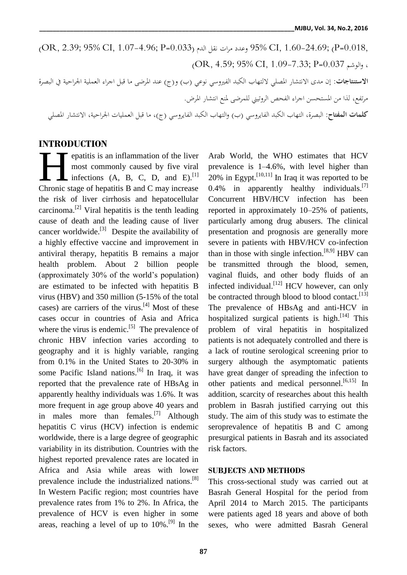(OR, 2.39; 95% CI, 1.07-4.96; P=0.033) الدم نقل مرات وعدد 95% CI, 1.60-24.69; (P=0.018, (OR, 4.59; 95% CI, 1.09-7.33; P=0.037 والوشم ، **االستنتاجات:** إن مدى االنتشار املصلي اللتهاب الكبد الفريوسي نوعي )ب( و)ج( عند املرضى ما قبل اجراء العملية اجلراحية يف البصرة مرتفع، لذا من املستحسن اجراء الفحص الروتيين للمرضى ملنع انتشار املرض. **كلمات المفتاح**: البصرة، التهاب الكبد الفايروسي )ب( والتهاب الكبد الفايروسي )ج(، ما قبل العمليات اجلر احية، االنتشار املصلي

# **INTRODUCTION**

epatitis is an inflammation of the liver most commonly caused by five viral infections  $(A, B, C, D, and E).$ <sup>[1]</sup> **Example 2 contract**<br>
most commonly caused by five viral<br>
infections (A, B, C, D, and E).<sup>[1]</sup><br>
Chronic stage of hepatitis B and C may increase the risk of liver cirrhosis and hepatocellular carcinoma.<sup>[2]</sup> Viral hepatitis is the tenth leading cause of death and the leading cause of liver cancer worldwide. $^{[3]}$  Despite the availability of a highly effective vaccine and improvement in antiviral therapy, hepatitis B remains a major health problem. About 2 billion people (approximately 30% of the world's population) are estimated to be infected with hepatitis B virus (HBV) and 350 million (5-15% of the total cases) are carriers of the virus. $[4]$  Most of these cases occur in countries of Asia and Africa where the virus is endemic.<sup>[5]</sup> The prevalence of chronic HBV infection varies according to geography and it is highly variable, ranging from 0.1% in the United States to 20-30% in some Pacific Island nations.<sup>[6]</sup> In Iraq, it was reported that the prevalence rate of HBsAg in apparently healthy individuals was 1.6%. It was more frequent in age group above 40 years and in males more than females.<sup>[7]</sup> Although hepatitis C virus (HCV) infection is endemic worldwide, there is a large degree of geographic variability in its distribution. Countries with the highest reported prevalence rates are located in Africa and Asia while areas with lower prevalence include the industrialized nations.<sup>[8]</sup> In Western Pacific region; most countries have prevalence rates from 1% to 2%. In Africa, the prevalence of HCV is even higher in some areas, reaching a level of up to  $10\%$ .<sup>[9]</sup> In the

Arab World, the WHO estimates that HCV prevalence is 1–4.6%, with level higher than  $20\%$  in Egypt.<sup>[10,11]</sup> In Iraq it was reported to be 0.4% in apparently healthy individuals. $^{[7]}$ Concurrent HBV/HCV infection has been reported in approximately 10–25% of patients, particularly among drug abusers. The clinical presentation and prognosis are generally more severe in patients with HBV/HCV co-infection than in those with single infection.<sup>[8,9]</sup> HBV can be transmitted through the blood, semen, vaginal fluids, and other body fluids of an infected individual.<sup>[12]</sup> HCV however, can only be contracted through blood to blood contact.<sup>[13]</sup> The prevalence of HBsAg and anti-HCV in hospitalized surgical patients is high.<sup>[14]</sup> This problem of viral hepatitis in hospitalized patients is not adequately controlled and there is a lack of routine serological screening prior to surgery although the asymptomatic patients have great danger of spreading the infection to other patients and medical personnel.<sup>[6,15]</sup> In addition, scarcity of researches about this health problem in Basrah justified carrying out this study. The aim of this study was to estimate the seroprevalence of hepatitis B and C among presurgical patients in Basrah and its associated risk factors.

# **SUBJECTS AND METHODS**

This cross-sectional study was carried out at Basrah General Hospital for the period from April 2014 to March 2015. The participants were patients aged 18 years and above of both sexes, who were admitted Basrah General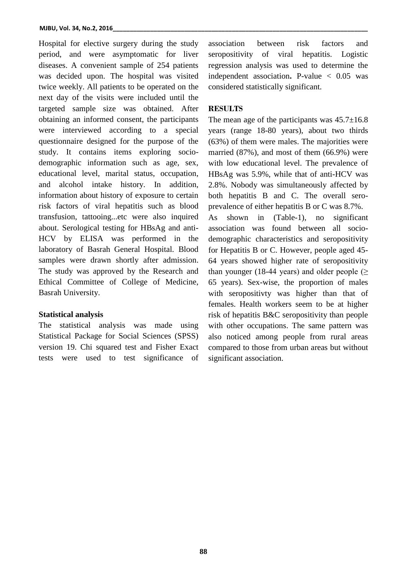#### **MJBU, Vol. 34, No.2, 2016**

Hospital for elective surgery during the study period, and were asymptomatic for liver diseases. A convenient sample of 254 patients was decided upon. The hospital was visited twice weekly. All patients to be operated on the next day of the visits were included until the targeted sample size was obtained. After obtaining an informed consent, the participants were interviewed according to a special questionnaire designed for the purpose of the study. It contains items exploring sociodemographic information such as age, sex, educational level, marital status, occupation, and alcohol intake history. In addition, information about history of exposure to certain risk factors of viral hepatitis such as blood transfusion, tattooing...etc were also inquired about. Serological testing for HBsAg and anti-HCV by ELISA was performed in the laboratory of Basrah General Hospital. Blood samples were drawn shortly after admission. The study was approved by the Research and Ethical Committee of College of Medicine, Basrah University.

## **Statistical analysis**

The statistical analysis was made using Statistical Package for Social Sciences (SPSS) version 19. Chi squared test and Fisher Exact tests were used to test significance of

association between risk factors and seropositivity of viral hepatitis. Logistic regression analysis was used to determine the independent association**.** P-value < 0.05 was considered statistically significant.

# **RESULTS**

The mean age of the participants was  $45.7\pm16.8$ years (range 18-80 years), about two thirds (63%) of them were males. The majorities were married (87%), and most of them (66.9%) were with low educational level. The prevalence of HBsAg was 5.9%, while that of anti-HCV was 2.8%. Nobody was simultaneously affected by both hepatitis B and C. The overall seroprevalence of either hepatitis B or C was 8.7%. As shown in (Table-1), no significant association was found between all sociodemographic characteristics and seropositivity for Hepatitis B or C. However, people aged 45- 64 years showed higher rate of seropositivity than younger (18-44 years) and older people ( $\geq$ 65 years). Sex-wise, the proportion of males with seropositivty was higher than that of females. Health workers seem to be at higher risk of hepatitis B&C seropositivity than people with other occupations. The same pattern was also noticed among people from rural areas compared to those from urban areas but without significant association.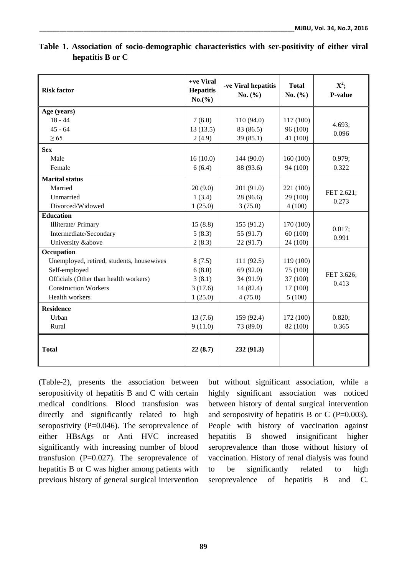| <b>Risk factor</b>                        | +ve Viral<br><b>Hepatitis</b><br>$No.$ (%) | -ve Viral hepatitis<br>No. $(\% )$ | <b>Total</b><br>No. $(\% )$ | $X^2$ ;<br>P-value |  |
|-------------------------------------------|--------------------------------------------|------------------------------------|-----------------------------|--------------------|--|
| Age (years)                               |                                            |                                    |                             |                    |  |
| $18 - 44$                                 | 7(6.0)                                     | 110(94.0)                          | 117 (100)                   | 4.693;             |  |
| $45 - 64$                                 | 13(13.5)                                   | 83 (86.5)                          | 96 (100)                    | 0.096              |  |
| $\geq 65$                                 | 2(4.9)                                     | 39(85.1)                           | 41 (100)                    |                    |  |
| <b>Sex</b>                                |                                            |                                    |                             |                    |  |
| Male                                      | 16(10.0)                                   | 144 (90.0)                         | 160(100)                    | 0.979;             |  |
| Female                                    | 6(6.4)                                     | 88 (93.6)                          | 94 (100)                    | 0.322              |  |
| <b>Marital status</b>                     |                                            |                                    |                             |                    |  |
| Married                                   | 20(9.0)                                    | 201 (91.0)                         | 221 (100)                   |                    |  |
| Unmarried                                 | 1(3.4)                                     | 28 (96.6)                          | 29 (100)                    | FET 2.621;         |  |
| Divorced/Widowed                          | 1(25.0)                                    | 3(75.0)                            | 4(100)                      | 0.273              |  |
| <b>Education</b>                          |                                            |                                    |                             |                    |  |
| Illiterate/Primary                        | 15(8.8)                                    | 155(91.2)                          | 170 (100)                   | 0.017;             |  |
| Intermediate/Secondary                    | 5(8.3)                                     | 55 (91.7)                          | 60(100)                     | 0.991              |  |
| University &above                         | 2(8.3)                                     | 22(91.7)                           | 24 (100)                    |                    |  |
| Occupation                                |                                            |                                    |                             |                    |  |
| Unemployed, retired, students, housewives | 8(7.5)                                     | 111(92.5)                          | 119 (100)                   |                    |  |
| Self-employed                             | 6(8.0)                                     | 69 (92.0)                          | 75 (100)                    | FET 3.626;         |  |
| Officials (Other than health workers)     | 3(8.1)                                     | 34 (91.9)                          | 37 (100)                    | 0.413              |  |
| <b>Construction Workers</b>               | 3(17.6)                                    | 14(82.4)                           | 17(100)                     |                    |  |
| Health workers                            | 1(25.0)                                    | 4(75.0)                            | 5(100)                      |                    |  |
| <b>Residence</b>                          |                                            |                                    |                             |                    |  |
| Urban                                     | 13(7.6)                                    | 159 (92.4)                         | 172 (100)                   | 0.820;             |  |
| Rural                                     | 9(11.0)                                    | 73 (89.0)                          | 82 (100)                    | 0.365              |  |
| <b>Total</b>                              | 22(8.7)                                    | 232(91.3)                          |                             |                    |  |

**Table 1. Association of socio-demographic characteristics with ser-positivity of either viral hepatitis B or C**

(Table-2), presents the association between seropositivity of hepatitis B and C with certain medical conditions. Blood transfusion was directly and significantly related to high seropostivity  $(P=0.046)$ . The seroprevalence of either HBsAgs or Anti HVC increased significantly with increasing number of blood transfusion (P=0.027). The seroprevalence of hepatitis B or C was higher among patients with previous history of general surgical intervention

but without significant association, while a highly significant association was noticed between history of dental surgical intervention and seroposivity of hepatitis B or C ( $P=0.003$ ). People with history of vaccination against hepatitis B showed insignificant higher seroprevalence than those without history of vaccination. History of renal dialysis was found to be significantly related to high seroprevalence of hepatitis B and C.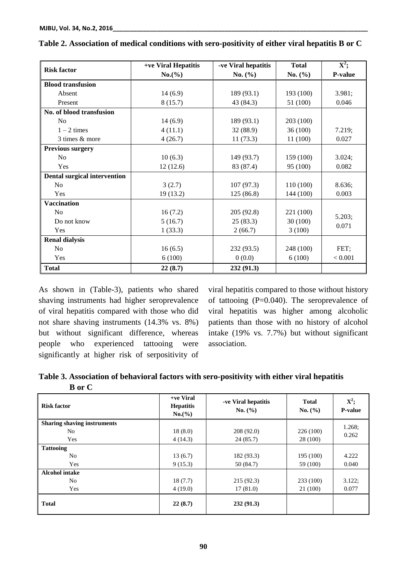| <b>Risk factor</b>                  | +ve Viral Hepatitis<br>-ve Viral hepatitis |             | <b>Total</b> | $\overline{\mathbf{X}^2}$ ; |  |
|-------------------------------------|--------------------------------------------|-------------|--------------|-----------------------------|--|
|                                     | No.(%)                                     | No. $(\% )$ | No. $(\% )$  | P-value                     |  |
| <b>Blood transfusion</b>            |                                            |             |              |                             |  |
| Absent                              | 14(6.9)                                    | 189 (93.1)  | 193 (100)    | 3.981;                      |  |
| Present                             | 8(15.7)                                    | 43 (84.3)   | 51 (100)     | 0.046                       |  |
| No. of blood transfusion            |                                            |             |              |                             |  |
| N <sub>0</sub>                      | 14(6.9)                                    | 189 (93.1)  | 203 (100)    |                             |  |
| $1 - 2$ times                       | 4(11.1)                                    | 32 (88.9)   | 36(100)      | 7.219;                      |  |
| 3 times & more                      | 4(26.7)                                    | 11(73.3)    | 11(100)      | 0.027                       |  |
| <b>Previous surgery</b>             |                                            |             |              |                             |  |
| No                                  | 10(6.3)                                    | 149 (93.7)  | 159 (100)    | 3.024;                      |  |
| Yes                                 | 12(12.6)                                   | 83 (87.4)   | 95 (100)     | 0.082                       |  |
| <b>Dental surgical intervention</b> |                                            |             |              |                             |  |
| No                                  | 3(2.7)                                     | 107(97.3)   | 110 (100)    | 8.636;                      |  |
| Yes                                 | 19(13.2)                                   | 125(86.8)   | 144 (100)    | 0.003                       |  |
| <b>Vaccination</b>                  |                                            |             |              |                             |  |
| No                                  | 16(7.2)                                    | 205 (92.8)  | 221 (100)    | 5.203;                      |  |
| Do not know                         | 5(16.7)                                    | 25(83.3)    | 30 (100)     | 0.071                       |  |
| Yes                                 | 1(33.3)                                    | 2(66.7)     | 3(100)       |                             |  |
| <b>Renal dialysis</b>               |                                            |             |              |                             |  |
| N <sub>0</sub>                      | 16(6.5)                                    | 232(93.5)   | 248 (100)    | FET;                        |  |
| Yes                                 | 6(100)                                     | 0(0.0)      | 6(100)       | < 0.001                     |  |
| <b>Total</b>                        | 22(8.7)                                    | 232 (91.3)  |              |                             |  |

| Table 2. Association of medical conditions with sero-positivity of either viral hepatitis B or C |
|--------------------------------------------------------------------------------------------------|
|--------------------------------------------------------------------------------------------------|

As shown in (Table-3), patients who shared shaving instruments had higher seroprevalence of viral hepatitis compared with those who did not share shaving instruments (14.3% vs. 8%) but without significant difference, whereas people who experienced tattooing were significantly at higher risk of serpositivity of

viral hepatitis compared to those without history of tattooing (P=0.040). The seroprevalence of viral hepatitis was higher among alcoholic patients than those with no history of alcohol intake (19% vs. 7.7%) but without significant association.

**Table 3. Association of behavioral factors with sero-positivity with either viral hepatitis B or C**

| <b>Risk factor</b>                 | +ve Viral<br><b>Hepatitis</b><br>$No.$ (%) | -ve Viral hepatitis<br>No. (%) | <b>Total</b><br>No. (%) | $X^2$ ;<br>P-value |  |
|------------------------------------|--------------------------------------------|--------------------------------|-------------------------|--------------------|--|
| <b>Sharing shaving instruments</b> |                                            |                                |                         | 1.268:             |  |
| N <sub>0</sub>                     | 18(8.0)                                    | 208(92.0)                      | 226(100)                | 0.262              |  |
| Yes                                | 4(14.3)                                    | 24(85.7)                       | 28 (100)                |                    |  |
| <b>Tattooing</b>                   |                                            |                                |                         |                    |  |
| No                                 | 13(6.7)                                    | 182 (93.3)                     | 195 (100)               | 4.222              |  |
| Yes                                | 9(15.3)                                    | 50(84.7)                       | 59 (100)                | 0.040              |  |
| <b>Alcohol intake</b>              |                                            |                                |                         |                    |  |
| No                                 | 18(7.7)                                    | 215(92.3)                      | 233 (100)               | 3.122;             |  |
| Yes                                | 4(19.0)                                    | 17(81.0)                       | 21 (100)                |                    |  |
| <b>Total</b>                       | 22(8.7)                                    | 232(91.3)                      |                         |                    |  |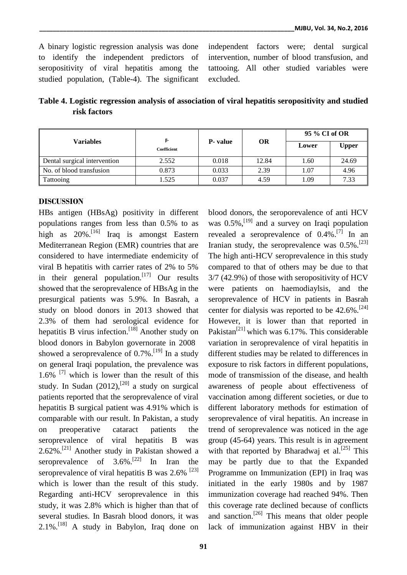A binary logistic regression analysis was done to identify the independent predictors of seropositivity of viral hepatitis among the studied population, (Table-4). The significant independent factors were; dental surgical intervention, number of blood transfusion, and tattooing. All other studied variables were excluded.

**Table 4. Logistic regression analysis of association of viral hepatitis seropositivity and studied risk factors**

| Variables                    | ß-<br>Coefficient | <b>P</b> - value | <b>OR</b> | 95 % CI of OR |              |
|------------------------------|-------------------|------------------|-----------|---------------|--------------|
|                              |                   |                  |           | Lower         | <b>Upper</b> |
| Dental surgical intervention | 2.552             | 0.018            | 12.84     | 1.60          | 24.69        |
| No. of blood transfusion     | 0.873             | 0.033            | 2.39      | 1.07          | 4.96         |
| Tattooing                    | 1.525             | 0.037            | 4.59      | .09           | 7.33         |

# **DISCUSSION**

HBs antigen (HBsAg) positivity in different populations ranges from less than 0.5% to as high as 20%.<sup>[16]</sup> Iraq is amongst Eastern Mediterranean Region (EMR) countries that are considered to have intermediate endemicity of viral B hepatitis with carrier rates of 2% to 5% in their general population.<sup>[17]</sup> Our results showed that the seroprevalence of HBsAg in the presurgical patients was 5.9%. In Basrah, a study on blood donors in 2013 showed that 2.3% of them had serological evidence for hepatitis B virus infection.<sup>[18]</sup> Another study on blood donors in Babylon governorate in 2008 showed a seroprevalence of  $0.7\%$ .<sup>[19]</sup> In a study on general Iraqi population, the prevalence was 1.6%  $^{[7]}$  which is lower than the result of this study. In Sudan  $(2012)$ ,  $[20]$  a study on surgical patients reported that the seroprevalence of viral hepatitis B surgical patient was 4.91% which is comparable with our result. In Pakistan, a study on preoperative cataract patients the seroprevalence of viral hepatitis B was 2.62%. [21] Another study in Pakistan showed a seroprevalence of  $3.6\%$ .<sup>[22]</sup> In Iran the seroprevalence of viral hepatitis B was  $2.6\%$ <sup>[23]</sup> which is lower than the result of this study. Regarding anti-HCV seroprevalence in this study, it was 2.8% which is higher than that of several studies. In Basrah blood donors, it was 2.1%.<sup>[18]</sup> A study in Babylon, Iraq done on

blood donors, the seroporevalence of anti HCV was  $0.5\%$ , <sup>[19]</sup> and a survey on Iraqi population revealed a seroprevalence of  $0.4\%$ .<sup>[7]</sup> In an Iranian study, the seroprevalence was  $0.5\%$ .<sup>[23]</sup> The high anti-HCV seroprevalence in this study compared to that of others may be due to that 3/7 (42.9%) of those with seropositivity of HCV were patients on haemodiaylsis, and the seroprevalence of HCV in patients in Basrah center for dialysis was reported to be  $42.6\%$ <sup>[24]</sup> However, it is lower than that reported in Pakistan<sup>[21]</sup> which was 6.17%. This considerable variation in seroprevalence of viral hepatitis in different studies may be related to differences in exposure to risk factors in different populations, mode of transmission of the disease, and health awareness of people about effectiveness of vaccination among different societies, or due to different laboratory methods for estimation of seroprevalence of viral hepatitis. An increase in trend of seroprevalence was noticed in the age group (45-64) years. This result is in agreement with that reported by Bharadwaj et al.<sup>[25]</sup> This may be partly due to that the Expanded Programme on Immunization (EPI) in Iraq was initiated in the early 1980s and by 1987 immunization coverage had reached 94%. Then this coverage rate declined because of conflicts and sanction.<sup>[26]</sup> This means that older people lack of immunization against HBV in their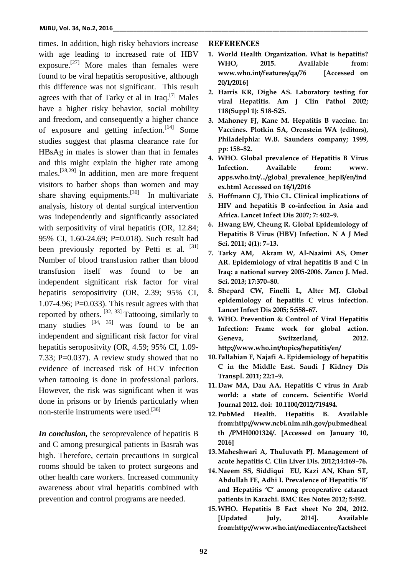times. In addition, high risky behaviors increase with age leading to increased rate of HBV exposure.<sup>[27]</sup> More males than females were found to be viral hepatitis seropositive, although this difference was not significant. This result agrees with that of Tarky et al in Iraq.<sup>[7]</sup> Males have a higher risky behavior, social mobility and freedom, and consequently a higher chance of exposure and getting infection.<sup>[14]</sup> Some studies suggest that plasma clearance rate for HBsAg in males is slower than that in females and this might explain the higher rate among males. [28,29] In addition, men are more frequent visitors to barber shops than women and may share shaving equipments.<sup>[30]</sup> In multivariate analysis, history of dental surgical intervention was independently and significantly associated with serpositivity of viral hepatitis (OR, 12.84; 95% CI, 1.60-24.69; P=0.018). Such result had been previously reported by Petti et al.  $[31]$ Number of blood transfusion rather than blood transfusion itself was found to be an independent significant risk factor for viral hepatitis seropositivity (OR, 2.39; 95% CI, 1.07-4.96; P=0.033). This result agrees with that reported by others.  $[32, 33]$  Tattooing, similarly to many studies  $[34, 35]$  was found to be an independent and significant risk factor for viral hepatitis seropositvity (OR, 4.59; 95% CI, 1.09- 7.33; P=0.037). A review study showed that no evidence of increased risk of HCV infection when tattooing is done in professional parlors. However, the risk was significant when it was done in prisons or by friends particularly when non-sterile instruments were used.<sup>[36]</sup>

*In conclusion,* the seroprevalence of hepatitis B and C among presurgical patients in Basrah was high. Therefore, certain precautions in surgical rooms should be taken to protect surgeons and other health care workers. Increased community awareness about viral hepatitis combined with prevention and control programs are needed.

### **REFERENCES**

- **1. World Health Organization. What is hepatitis? WHO, 2015. Available from: www.who.int/features/qa/76 [Accessed on 20/1/2016]**
- **2. Harris KR, Dighe AS. Laboratory testing for viral Hepatitis. Am J Clin Pathol 2002; 118(Suppl 1): S18-S25.**
- **3. Mahoney FJ, Kane M. Hepatitis B vaccine. In: Vaccines. Plotkin SA, Orenstein WA (editors), Philadelphia: W.B. Saunders company; 1999, pp: 158–82.**
- **4. WHO. Global prevalence of Hepatitis B Virus Infection. Available from: www. apps.who.int/.../global\_prevalence\_hepB/en/ind ex.html Accessed on 16/1/2016**
- **5. Hoffmann CJ, Thio CL. Clinical implications of HIV and hepatitis B co-infection in Asia and Africa. Lancet Infect Dis 2007; 7: 402–9.**
- *6.* **Hwang EW, Cheung R. Global Epidemiology of Hepatitis B Virus (HBV) Infection. N A J Med Sci. 2011; 4(1): 7–13.**
- **7. Tarky AM, Akram W, Al-Naaimi AS, Omer AR. Epidemiology of viral hepatitis B and C in Iraq: a national survey 2005-2006. Zanco J. Med. Sci. 2013; 17:370–80.**
- **8. Shepard CW, Finelli L, Alter MJ. Global epidemiology of hepatitis C virus infection. Lancet Infect Dis 2005; 5:558–67.**
- **9. WHO. Prevention & Control of Viral Hepatitis Infection: Frame work for global action. Geneva, Switzerland, 2012. <http://www.who.int/topics/hepatitis/en/>**
- **10. Fallahian F, Najafi A. Epidemiology of hepatitis C in the Middle East. [Saudi J Kidney Dis](http://www.ncbi.nlm.nih.gov/pubmed/?term=Fallahian+F%2C+Najafi+A.+Epidemiology+of+hepatitis+C+in+the+Middle+East.+Saudi+Journal+of+Kidney+Diseases+and+Transplantation+2011%3B+22(1)%3A1%E2%80%939.)  [Transpl.](http://www.ncbi.nlm.nih.gov/pubmed/?term=Fallahian+F%2C+Najafi+A.+Epidemiology+of+hepatitis+C+in+the+Middle+East.+Saudi+Journal+of+Kidney+Diseases+and+Transplantation+2011%3B+22(1)%3A1%E2%80%939.) 2011; 22:1–9.**
- **11. Daw MA, Dau AA. Hepatitis C virus in Arab world: a state of concern. [Scientific World](http://www.ncbi.nlm.nih.gov/pubmed/?term=Daw+MA%2C+Dau+AA.+Hepatitis+C+virus+in+Arab+world%3A+a+state+of+concern.+The+Scientific+World+Journal+2012%3B+2012%3A12+pages.719494.) [Journal](http://www.ncbi.nlm.nih.gov/pubmed/?term=Daw+MA%2C+Dau+AA.+Hepatitis+C+virus+in+Arab+world%3A+a+state+of+concern.+The+Scientific+World+Journal+2012%3B+2012%3A12+pages.719494.) 2012. doi: 10.1100/2012/719494.**
- **12. PubMed Health. Hepatitis B. Available from:http://www.ncbi.nlm.nih.gov/pubmedheal th /PMH0001324/. [Accessed on January 10, 2016]**
- **13.Maheshwari A, Thuluvath PJ. Management of acute hepatitis C. [Clin Liver Dis.](http://www.ncbi.nlm.nih.gov/pubmed/?term=Maheshwari+A%2C+Thuluvath+PJ%3A+Management+of+acute+hepatitis+C.+Clinics+in+liver+disease+2010%2C+14(1)%3A169%E2%80%93176.) 2012;14:169–76.**
- **14. Naeem SS, Siddiqui EU, Kazi AN, Khan ST, Abdullah FE, Adhi I. Prevalence of Hepatitis 'B' and Hepatitis 'C' among preoperative cataract patients in Karachi. BMC Res Notes 2012; 5:492.**
- **15.WHO. Hepatitis B Fact sheet No 204, 2012. [Updated July, 2014]. Available from:http://www.who.int/mediacentre/factsheet**